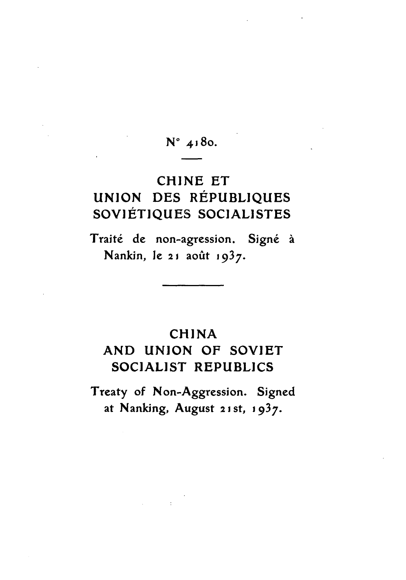## **No** 4j8o.

# CHINE ET **UNION DES RÉPUBLIQUES** SOVIETIQUES SOCIALISTES

Traité de non-agression. Signé à Nankin, le 21 août 1937.

### CHINA

## **AND UNION** OF SOVIET SOCIALIST REPUBLICS

Treaty of Non-Aggression. Signed at Nanking, August **21** st, **1937.**

 $\mathcal{A}^{\text{max}}_{\text{max}}$  and  $\mathcal{A}^{\text{max}}_{\text{max}}$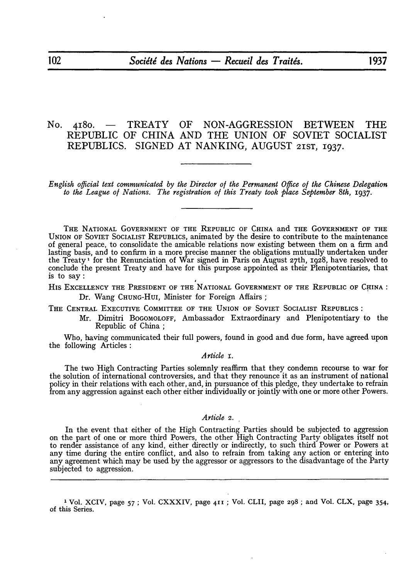### No. 418o. **-** TREATY OF **NON-AGGRESSION** BETWEEN THE REPUBLIC OF **CHINA AND** THE **UNION** OF SOVIET SOCIALIST REPUBLICS. SIGNED **AT** NANKING, **AUGUST** 21ST, 1937.

*English official text communicated by the Director of the Permanent Office of the Chinese Delegation* to the League of Nations. The registration of this Treaty took place September 8th, 1937.

THE NATIONAL GOVERNMENT OF THE REPUBLIC OF CHINA and THE GOVERNMENT OF THE UNION OF SOVIET SOCIALIST REPUBLICS, animated **by** the desire to contribute to the maintenance of general peace, to consolidate the amicable relations now existing between them on a firm and lasting basis, and to confirm in a more precise manner the obligations mutually undertaken under the Treaty **1** for the Renunciation of War signed in Paris on August 27 th, 1928, have resolved to conclude the present Treaty and have for this purpose appointed as their Plenipotentiaries, that is to say:

HIS EXCELLENCY THE PRESIDENT OF THE NATIONAL GOVERNMENT OF THE REPUBLIC OF CHINA: Dr. Wang CHUNG-HuI, Minister for Foreign Affairs **;**

THE CENTRAL EXECUTIVE COMMITTEE OF **THE** UNION OF SOVIET SOCIALIST REPUBLICS:

Mr. Dimitri BOGOMOLOFF, Ambassador Extraordinary and Plenipotentiary to the Republic of China **;**

Who, having communicated their full powers, found in good and due form, have agreed upon the following Articles:

#### *A rticle I.*

The two High Contracting Parties solemnly reaffirm that they condemn recourse to war for the solution of international controversies, and that they renounce it as an instrument of national policy in their relations with each other, and, in pursuance of this pledge, they undertake to refrain from any aggression against each other either individually or jointly with one or more other Powers.

#### *Article 2.*

In the event that either of the High Contracting Parties should be subjected to aggression on the part of one or more third Powers, the other High Contracting Party obligates itself not to render assistance of any kind, either directly or indirectly, to such third Power or Powers at any time during the entire conflict, and also to refrain from taking any action or entering into any agreement which may be used **by** the aggressor or aggressors to the disadvantage of the Party subjected to aggression.

**1** Vol. XCIV, page **57 ;** Vol. CXXXIV, page **411;** Vol. CLII, page **298** ; and Vol. CLX, page 354, of this Series.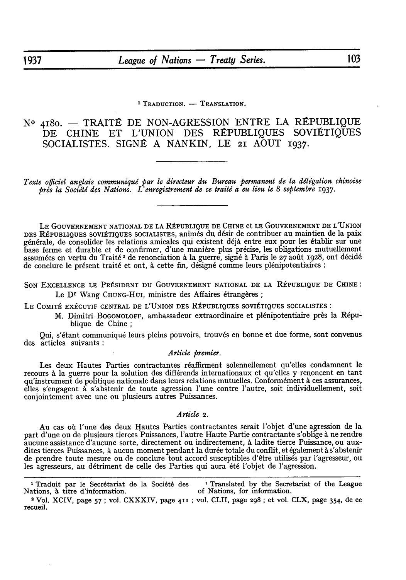**1 TRADUCTION. - TRANSLATION.**

 $N^o$  4180. – TRAITÉ DE NON-AGRESSION ENTRE LA RÉPUBLIQUE DE CHINE ET L'UNION DES RÉPUBLIQUES SOVIÉTIQUES SOCIALISTES. SIGNÉ A NANKIN, LE 21 AOUT 1937.

Texte officiel anglais communiqué par le directeur du Bureau permanent de la délégation chinoise *pros la Socijtd des Nations. L'enregistrement de ce traiti a eu lieu le 8 septembre* **1937.**

LE GOUVERNEMENT NATIONAL DE LA RÉPUBLIQUE DE CHINE et LE GOUVERNEMENT DE L'UNION DES RÉPUBLIQUES SOVIÉTIQUES SOCIALISTES, animés du désir de contribuer au maintien de la paix générale, de consolider les relations amicales qui existent déjà entre eux pour les établir sur une base ferme et durable et de confirmer, d'une manière plus précise, les obligations mutuellement assumées en vertu du Traité<sup>2</sup> de renonciation à la guerre, signé à Paris le 27 août 1928, ont décidé de conclure le présent traité et ont, à cette fin, désigné comme leurs plénipotentiaires :

SON EXCELLENCE LE PRÉSIDENT DU GOUVERNEMENT NATIONAL DE LA RÉPUBLIQUE DE CHINE: Le D<sup>r</sup> Wang CHUNG-HUI, ministre des Affaires étrangères;

LE COMITÉ EXÉCUTIF CENTRAL DE L'UNION DES RÉPUBLIQUES SOVIÉTIQUES SOCIALISTES :

M. Dimitri BOGOMOLOFF, ambassadeur extraordinaire et plénipotentiaire près la République de Chine;

Qui, s'étant communiqué leurs pleins pouvoirs, trouvés en bonne et due forme, sont convenus des articles suivants:

#### *A rticle premier.*

Les deux Hautes Parties contractantes réaffirment solennellement qu'elles condamnent le recours à la guerre pour la solution des différends internationaux et qu'elles y renoncent en tant qu'instrument de politique nationale dans leurs relations mutuelles. Conformément à ces assurances, elles s'engagent à s'abstenir de toute agression l'une contre l'autre, soit individuellement, soit conjointement avec une ou plusieurs autres Puissances.

#### *Article 2.*

Au cas où l'une des deux Hautes Parties contractantes serait l'objet d'une agression de la part d'une ou de plusieurs tierces Puissances, l'autre Haute Partie contractante s'oblige à ne rendre aucune assistance d'aucune sorte, directement ou indirectement, **A** ladite tierce Puissance, ou auxdites tierces Puissances, à aucun moment pendant la durée totale du conflit, et également à s'abstenir de prendre toute mesure ou de conclure tout accord susceptibles d'être utilisés par l'agresseur, ou les agresseurs, au détriment de celle des Parties qui aura été l'objet de l'agression.

<sup>1</sup> Traduit par le Secrétariat de la Société des <sup>1</sup> Translated by the Secretariat of the League Nations, à titre d'information.  $\qquad \qquad$  of Nations, for information.

<sup>2</sup>Vol. XCIV, page **57;** vol. CXXXIV, page **411 ;** vol. CLII, page 298; et vol. CLX, page 354, de ce recueil.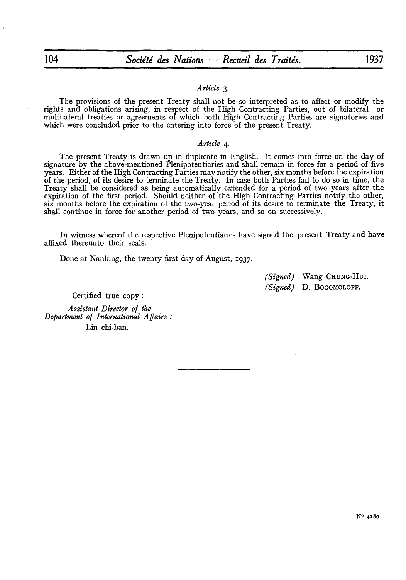### 104 *Socitd des Nations* **-** *Recuei des Traite's.* **<sup>1937</sup>**

#### *Article 3.*

The provisions of the present Treaty shall not be so interpreted as to affect or modify the rights and obligations arising, in respect of the High Contracting Parties, out of bilateral or multilateral treaties or agreements of which both High Contracting Parties are signatories and which were concluded prior to the entering into force of the present Treaty.

#### *Article 4.*

The present Treaty is drawn up in duplicate in English. It comes into force on the day of signature **by** the above-mentioned Plenipotentiaries and shall remain in force for a period of five years. Either of the High Contracting Parties may notify the other, six months before the expiration of the period, of its desire to terminate the Treaty. In case both Parties fail to do so in time, the Treaty shall be considered as being automatically extended for a period of two years after the expiration of the first period. Should neither of the High Contracting Parties notify the other, six months before the expiration of the two-year period of its desire to terminate the Treaty, it shall continue in force for another period of two years, and so on successively.

In witness whereof the respective Plenipotentiaries have signed the present Treaty and have affixed thereunto their seals.

Done at Nanking, the twenty-first day of August, 1937.

*(Signed)* Wang CHUNG-HUI. *(Signed)* D. BOGOMOLOFF.

Certified true copy:

*Assistant Director o/ the Department of International A fairs:* Lin chi-han.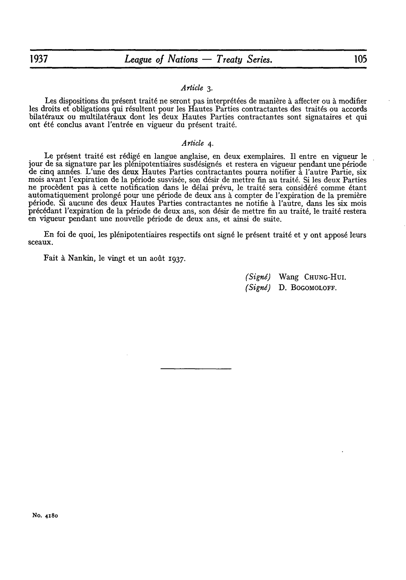#### *Article 3.*

Les dispositions du présent traité ne seront pas interprétées de manière à affecter ou à modifier les droits et obligations qui résultent pour les Hautes Parties contractantes des traités ou accords bilatéraux ou multilatéraux dont les deux Hautes Parties contractantes sont signataires et qui ont été conclus avant l'entrée en vigueur du présent traité.

#### *Article 4.*

Le présent traité est rédigé en langue anglaise, en deux exemplaires. Il entre en vigueur le jour de sa signature par les plénipotentiaires susdésignés et restera en vigueur pendant une période de cinq années. L'une des deux Hautes Parties contractantes pourra notifier à l'autre Partie, six mois avant l'expiration de la période susvisée, son désir de mettre fin au traité. Si les deux Parties ne procèdent pas à cette notification dans le délai prévu, le traité sera considéré comme étant<br>automatiquement prolongé pour une période de deux ans à compter de l'expiration de la première période. Si aucune des deux Hautes Parties contractantes ne notifie à l'autre, dans les six mois précédant l'expiration de la période de deux ans, son désir de mettre fin au traité, le traité restera en vigueur pendant une nouvelle période de deux ans, et ainsi de suite.

En foi de quoi, les plénipotentiaires respectifs ont signé le présent traité et y ont apposé leurs sceaux.

Fait à Nankin, le vingt et un août 1937.

*(Signe)* Wang CHUNG-HuI. *(Signd)* D. BOGOMOLOFF.